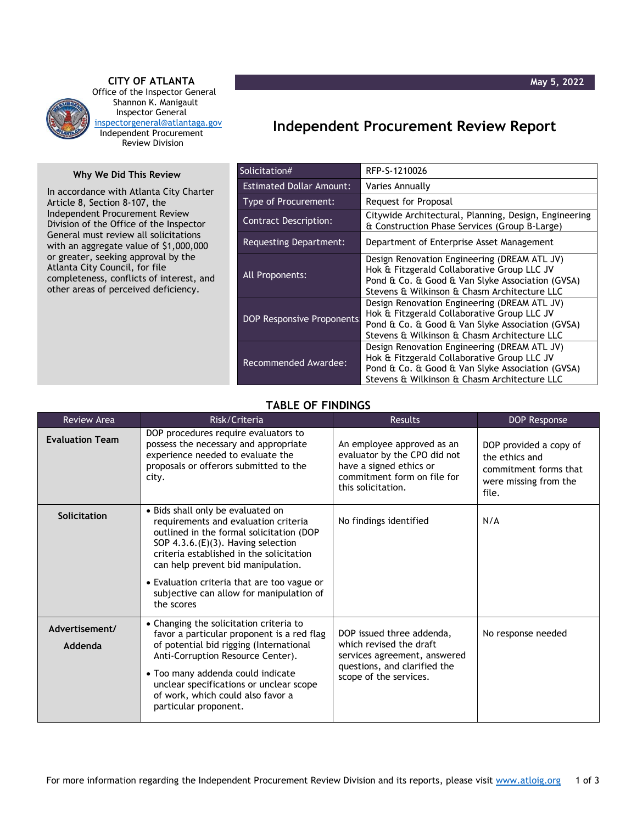

**CITY OF ATLANTA** Office of the Inspector General Shannon K. Manigault Inspector General [inspectorgeneral@atlantaga.gov](mailto:inspectorgeneral@atlantaga.gov) Independent Procurement Review Division

## **Why We Did This Review**

In accordance with Atlanta City Charter Article 8, Section 8-107, the Independent Procurement Review Division of the Office of the Inspector General must review all solicitations with an aggregate value of \$1,000,000 or greater, seeking approval by the Atlanta City Council, for file completeness, conflicts of interest, and other areas of perceived deficiency.

## **Independent Procurement Review Report**

| Solicitation#                     | RFP-S-1210026                                                                                                                                                                                   |
|-----------------------------------|-------------------------------------------------------------------------------------------------------------------------------------------------------------------------------------------------|
| <b>Estimated Dollar Amount:</b>   | Varies Annually                                                                                                                                                                                 |
| Type of Procurement:              | Request for Proposal                                                                                                                                                                            |
| <b>Contract Description:</b>      | Citywide Architectural, Planning, Design, Engineering<br>& Construction Phase Services (Group B-Large)                                                                                          |
| Requesting Department:            | Department of Enterprise Asset Management                                                                                                                                                       |
| All Proponents:                   | Design Renovation Engineering (DREAM ATL JV)<br>Hok & Fitzgerald Collaborative Group LLC JV<br>Pond & Co. & Good & Van Slyke Association (GVSA)<br>Stevens & Wilkinson & Chasm Architecture LLC |
| <b>DOP Responsive Proponents:</b> | Design Renovation Engineering (DREAM ATL JV)<br>Hok & Fitzgerald Collaborative Group LLC JV<br>Pond & Co. & Good & Van Slyke Association (GVSA)<br>Stevens & Wilkinson & Chasm Architecture LLC |
| Recommended Awardee:              | Design Renovation Engineering (DREAM ATL JV)<br>Hok & Fitzgerald Collaborative Group LLC JV<br>Pond & Co. & Good & Van Slyke Association (GVSA)<br>Stevens & Wilkinson & Chasm Architecture LLC |

## **TABLE OF FINDINGS**

| <b>Review Area</b>        | Risk/Criteria                                                                                                                                                                                                                                                                                                                                              | Results                                                                                                                                        | <b>DOP Response</b>                                                                                 |
|---------------------------|------------------------------------------------------------------------------------------------------------------------------------------------------------------------------------------------------------------------------------------------------------------------------------------------------------------------------------------------------------|------------------------------------------------------------------------------------------------------------------------------------------------|-----------------------------------------------------------------------------------------------------|
| <b>Evaluation Team</b>    | DOP procedures require evaluators to<br>possess the necessary and appropriate<br>experience needed to evaluate the<br>proposals or offerors submitted to the<br>city.                                                                                                                                                                                      | An employee approved as an<br>evaluator by the CPO did not<br>have a signed ethics or<br>commitment form on file for<br>this solicitation.     | DOP provided a copy of<br>the ethics and<br>commitment forms that<br>were missing from the<br>file. |
| Solicitation              | • Bids shall only be evaluated on<br>requirements and evaluation criteria<br>outlined in the formal solicitation (DOP<br>SOP $4.3.6$ . (E)(3). Having selection<br>criteria established in the solicitation<br>can help prevent bid manipulation.<br>• Evaluation criteria that are too vague or<br>subjective can allow for manipulation of<br>the scores | No findings identified                                                                                                                         | N/A                                                                                                 |
| Advertisement/<br>Addenda | • Changing the solicitation criteria to<br>favor a particular proponent is a red flag<br>of potential bid rigging (International<br>Anti-Corruption Resource Center).<br>• Too many addenda could indicate<br>unclear specifications or unclear scope<br>of work, which could also favor a<br>particular proponent.                                        | DOP issued three addenda,<br>which revised the draft<br>services agreement, answered<br>questions, and clarified the<br>scope of the services. | No response needed                                                                                  |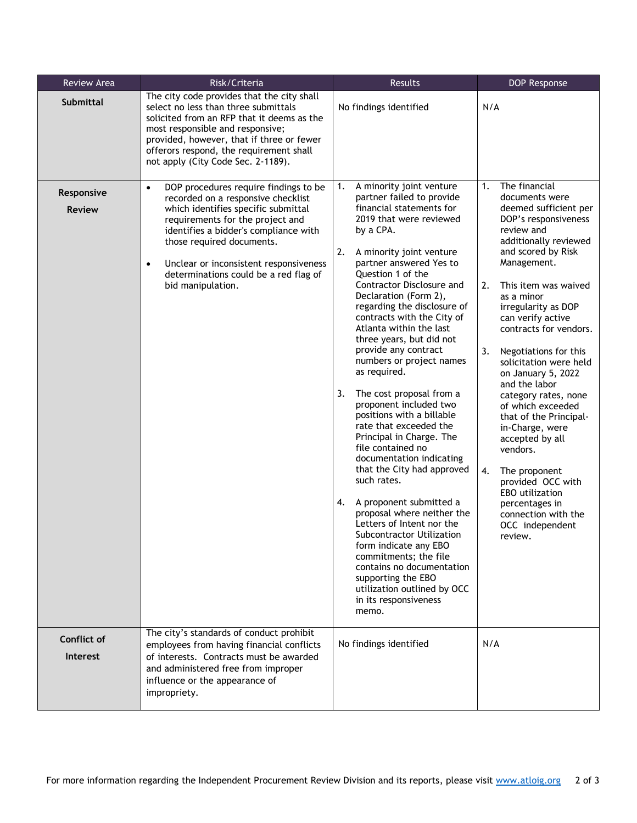| Review Area                                     | Risk/Criteria                                                                                                                                                                                                                                                                                                                                                                                                                                                                                                                                                                                                                                   | Results                                                                                                                                                                                                                                                                                                                                                                                                                                                                                                                                                                                                                                                                                                                                                                                | DOP Response                                                                                                                                                                                                                                                                                                                                                                                                                                                                  |
|-------------------------------------------------|-------------------------------------------------------------------------------------------------------------------------------------------------------------------------------------------------------------------------------------------------------------------------------------------------------------------------------------------------------------------------------------------------------------------------------------------------------------------------------------------------------------------------------------------------------------------------------------------------------------------------------------------------|----------------------------------------------------------------------------------------------------------------------------------------------------------------------------------------------------------------------------------------------------------------------------------------------------------------------------------------------------------------------------------------------------------------------------------------------------------------------------------------------------------------------------------------------------------------------------------------------------------------------------------------------------------------------------------------------------------------------------------------------------------------------------------------|-------------------------------------------------------------------------------------------------------------------------------------------------------------------------------------------------------------------------------------------------------------------------------------------------------------------------------------------------------------------------------------------------------------------------------------------------------------------------------|
| <b>Submittal</b><br>Responsive<br><b>Review</b> | The city code provides that the city shall<br>select no less than three submittals<br>solicited from an RFP that it deems as the<br>most responsible and responsive;<br>provided, however, that if three or fewer<br>offerors respond, the requirement shall<br>not apply (City Code Sec. 2-1189).<br>DOP procedures require findings to be<br>$\bullet$<br>recorded on a responsive checklist<br>which identifies specific submittal<br>requirements for the project and<br>identifies a bidder's compliance with<br>those required documents.<br>Unclear or inconsistent responsiveness<br>$\bullet$<br>determinations could be a red flag of | No findings identified<br>A minority joint venture<br>1.<br>partner failed to provide<br>financial statements for<br>2019 that were reviewed<br>by a CPA.<br>2.<br>A minority joint venture<br>partner answered Yes to<br>Question 1 of the                                                                                                                                                                                                                                                                                                                                                                                                                                                                                                                                            | N/A<br>The financial<br>1.<br>documents were<br>deemed sufficient per<br>DOP's responsiveness<br>review and<br>additionally reviewed<br>and scored by Risk<br>Management.                                                                                                                                                                                                                                                                                                     |
|                                                 | bid manipulation.                                                                                                                                                                                                                                                                                                                                                                                                                                                                                                                                                                                                                               | Contractor Disclosure and<br>Declaration (Form 2),<br>regarding the disclosure of<br>contracts with the City of<br>Atlanta within the last<br>three years, but did not<br>provide any contract<br>numbers or project names<br>as required.<br>3.<br>The cost proposal from a<br>proponent included two<br>positions with a billable<br>rate that exceeded the<br>Principal in Charge. The<br>file contained no<br>documentation indicating<br>that the City had approved<br>such rates.<br>A proponent submitted a<br>4.<br>proposal where neither the<br>Letters of Intent nor the<br>Subcontractor Utilization<br>form indicate any EBO<br>commitments; the file<br>contains no documentation<br>supporting the EBO<br>utilization outlined by OCC<br>in its responsiveness<br>memo. | 2.<br>This item was waived<br>as a minor<br>irregularity as DOP<br>can verify active<br>contracts for vendors.<br>3.<br>Negotiations for this<br>solicitation were held<br>on January 5, 2022<br>and the labor<br>category rates, none<br>of which exceeded<br>that of the Principal-<br>in-Charge, were<br>accepted by all<br>vendors.<br>4.<br>The proponent<br>provided OCC with<br>EBO utilization<br>percentages in<br>connection with the<br>OCC independent<br>review. |
| <b>Conflict of</b><br><b>Interest</b>           | The city's standards of conduct prohibit<br>employees from having financial conflicts<br>of interests. Contracts must be awarded<br>and administered free from improper<br>influence or the appearance of<br>impropriety.                                                                                                                                                                                                                                                                                                                                                                                                                       | No findings identified                                                                                                                                                                                                                                                                                                                                                                                                                                                                                                                                                                                                                                                                                                                                                                 | N/A                                                                                                                                                                                                                                                                                                                                                                                                                                                                           |